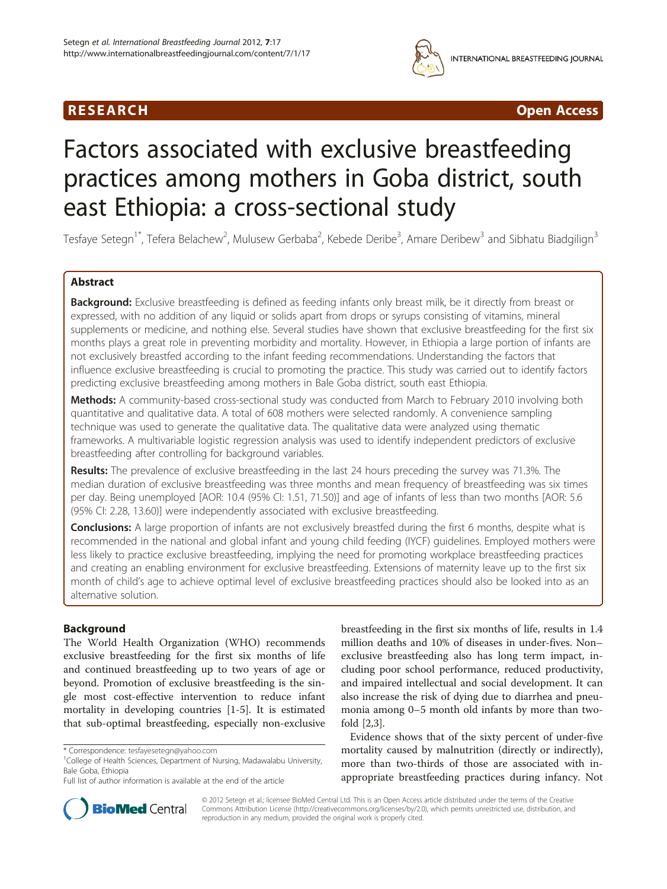## R E S EAR CH Open Access



# Factors associated with exclusive breastfeeding practices among mothers in Goba district, south east Ethiopia: a cross-sectional study

Tesfaye Setegn<sup>1\*</sup>, Tefera Belachew<sup>2</sup>, Mulusew Gerbaba<sup>2</sup>, Kebede Deribe<sup>3</sup>, Amare Deribew<sup>3</sup> and Sibhatu Biadgilign<sup>3</sup>

## Abstract

Background: Exclusive breastfeeding is defined as feeding infants only breast milk, be it directly from breast or expressed, with no addition of any liquid or solids apart from drops or syrups consisting of vitamins, mineral supplements or medicine, and nothing else. Several studies have shown that exclusive breastfeeding for the first six months plays a great role in preventing morbidity and mortality. However, in Ethiopia a large portion of infants are not exclusively breastfed according to the infant feeding recommendations. Understanding the factors that influence exclusive breastfeeding is crucial to promoting the practice. This study was carried out to identify factors predicting exclusive breastfeeding among mothers in Bale Goba district, south east Ethiopia.

Methods: A community-based cross-sectional study was conducted from March to February 2010 involving both quantitative and qualitative data. A total of 608 mothers were selected randomly. A convenience sampling technique was used to generate the qualitative data. The qualitative data were analyzed using thematic frameworks. A multivariable logistic regression analysis was used to identify independent predictors of exclusive breastfeeding after controlling for background variables.

Results: The prevalence of exclusive breastfeeding in the last 24 hours preceding the survey was 71.3%. The median duration of exclusive breastfeeding was three months and mean frequency of breastfeeding was six times per day. Being unemployed [AOR: 10.4 (95% CI: 1.51, 71.50)] and age of infants of less than two months [AOR: 5.6 (95% CI: 2.28, 13.60)] were independently associated with exclusive breastfeeding.

Conclusions: A large proportion of infants are not exclusively breastfed during the first 6 months, despite what is recommended in the national and global infant and young child feeding (IYCF) guidelines. Employed mothers were less likely to practice exclusive breastfeeding, implying the need for promoting workplace breastfeeding practices and creating an enabling environment for exclusive breastfeeding. Extensions of maternity leave up to the first six month of child's age to achieve optimal level of exclusive breastfeeding practices should also be looked into as an alternative solution.

## Background

The World Health Organization (WHO) recommends exclusive breastfeeding for the first six months of life and continued breastfeeding up to two years of age or beyond. Promotion of exclusive breastfeeding is the single most cost-effective intervention to reduce infant mortality in developing countries [[1-5](#page-6-0)]. It is estimated that sub-optimal breastfeeding, especially non-exclusive

breastfeeding in the first six months of life, results in 1.4 million deaths and 10% of diseases in under-fives. Non– exclusive breastfeeding also has long term impact, including poor school performance, reduced productivity, and impaired intellectual and social development. It can also increase the risk of dying due to diarrhea and pneumonia among 0–5 month old infants by more than twofold [[2](#page-6-0),[3\]](#page-6-0).

Evidence shows that of the sixty percent of under-five mortality caused by malnutrition (directly or indirectly), more than two-thirds of those are associated with inappropriate breastfeeding practices during infancy. Not



© 2012 Setegn et al.; licensee BioMed Central Ltd. This is an Open Access article distributed under the terms of the Creative Commons Attribution License [\(http://creativecommons.org/licenses/by/2.0\)](http://creativecommons.org/licenses/by/2.0), which permits unrestricted use, distribution, and reproduction in any medium, provided the original work is properly cited.

<sup>\*</sup> Correspondence: [tesfayesetegn@yahoo.com](mailto:tesfayesetegn@yahoo.com) <sup>1</sup>

<sup>&</sup>lt;sup>1</sup>College of Health Sciences, Department of Nursing, Madawalabu University, Bale Goba, Ethiopia

Full list of author information is available at the end of the article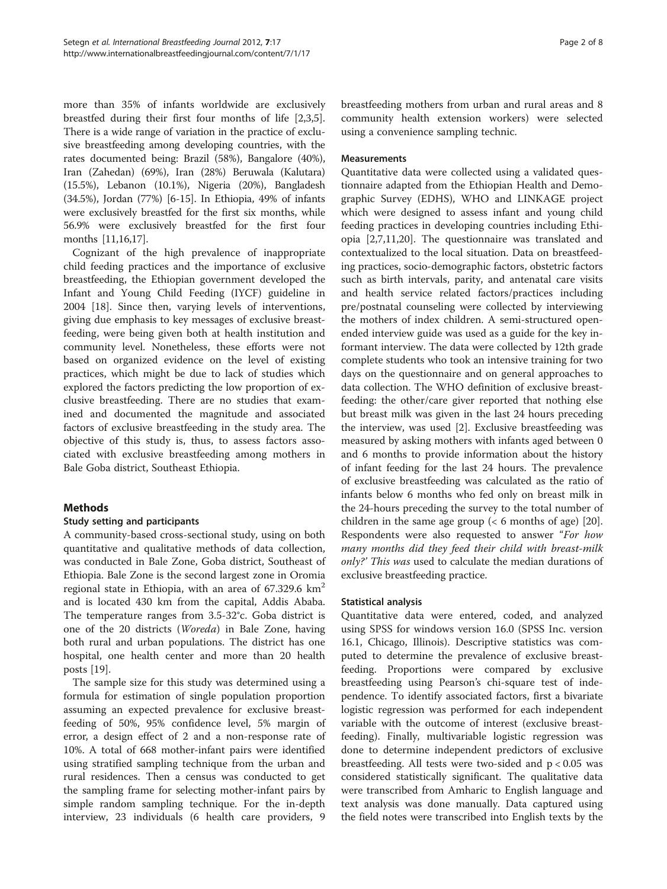more than 35% of infants worldwide are exclusively breastfed during their first four months of life [\[2,3,5](#page-6-0)]. There is a wide range of variation in the practice of exclusive breastfeeding among developing countries, with the rates documented being: Brazil (58%), Bangalore (40%), Iran (Zahedan) (69%), Iran (28%) Beruwala (Kalutara) (15.5%), Lebanon (10.1%), Nigeria (20%), Bangladesh (34.5%), Jordan (77%) [\[6](#page-6-0)[-15](#page-7-0)]. In Ethiopia, 49% of infants were exclusively breastfed for the first six months, while 56.9% were exclusively breastfed for the first four months [\[11,](#page-6-0)[16](#page-7-0),[17](#page-7-0)].

Cognizant of the high prevalence of inappropriate child feeding practices and the importance of exclusive breastfeeding, the Ethiopian government developed the Infant and Young Child Feeding (IYCF) guideline in 2004 [[18\]](#page-7-0). Since then, varying levels of interventions, giving due emphasis to key messages of exclusive breastfeeding, were being given both at health institution and community level. Nonetheless, these efforts were not based on organized evidence on the level of existing practices, which might be due to lack of studies which explored the factors predicting the low proportion of exclusive breastfeeding. There are no studies that examined and documented the magnitude and associated factors of exclusive breastfeeding in the study area. The objective of this study is, thus, to assess factors associated with exclusive breastfeeding among mothers in Bale Goba district, Southeast Ethiopia.

## **Methods**

### Study setting and participants

A community-based cross-sectional study, using on both quantitative and qualitative methods of data collection, was conducted in Bale Zone, Goba district, Southeast of Ethiopia. Bale Zone is the second largest zone in Oromia regional state in Ethiopia, with an area of  $67.329.6 \text{ km}^2$ and is located 430 km from the capital, Addis Ababa. The temperature ranges from 3.5-32°c. Goba district is one of the 20 districts (Woreda) in Bale Zone, having both rural and urban populations. The district has one hospital, one health center and more than 20 health posts [[19\]](#page-7-0).

The sample size for this study was determined using a formula for estimation of single population proportion assuming an expected prevalence for exclusive breastfeeding of 50%, 95% confidence level, 5% margin of error, a design effect of 2 and a non-response rate of 10%. A total of 668 mother-infant pairs were identified using stratified sampling technique from the urban and rural residences. Then a census was conducted to get the sampling frame for selecting mother-infant pairs by simple random sampling technique. For the in-depth interview, 23 individuals (6 health care providers, 9 breastfeeding mothers from urban and rural areas and 8 community health extension workers) were selected using a convenience sampling technic.

#### Measurements

Quantitative data were collected using a validated questionnaire adapted from the Ethiopian Health and Demographic Survey (EDHS), WHO and LINKAGE project which were designed to assess infant and young child feeding practices in developing countries including Ethiopia [\[2,7,11](#page-6-0)[,20](#page-7-0)]. The questionnaire was translated and contextualized to the local situation. Data on breastfeeding practices, socio-demographic factors, obstetric factors such as birth intervals, parity, and antenatal care visits and health service related factors/practices including pre/postnatal counseling were collected by interviewing the mothers of index children. A semi-structured openended interview guide was used as a guide for the key informant interview. The data were collected by 12th grade complete students who took an intensive training for two days on the questionnaire and on general approaches to data collection. The WHO definition of exclusive breastfeeding: the other/care giver reported that nothing else but breast milk was given in the last 24 hours preceding the interview, was used [[2\]](#page-6-0). Exclusive breastfeeding was measured by asking mothers with infants aged between 0 and 6 months to provide information about the history of infant feeding for the last 24 hours. The prevalence of exclusive breastfeeding was calculated as the ratio of infants below 6 months who fed only on breast milk in the 24-hours preceding the survey to the total number of children in the same age group  $(< 6$  months of age) [\[20](#page-7-0)]. Respondents were also requested to answer "For how many months did they feed their child with breast-milk only?' This was used to calculate the median durations of exclusive breastfeeding practice.

### Statistical analysis

Quantitative data were entered, coded, and analyzed using SPSS for windows version 16.0 (SPSS Inc. version 16.1, Chicago, Illinois). Descriptive statistics was computed to determine the prevalence of exclusive breastfeeding. Proportions were compared by exclusive breastfeeding using Pearson's chi-square test of independence. To identify associated factors, first a bivariate logistic regression was performed for each independent variable with the outcome of interest (exclusive breastfeeding). Finally, multivariable logistic regression was done to determine independent predictors of exclusive breastfeeding. All tests were two-sided and p < 0.05 was considered statistically significant. The qualitative data were transcribed from Amharic to English language and text analysis was done manually. Data captured using the field notes were transcribed into English texts by the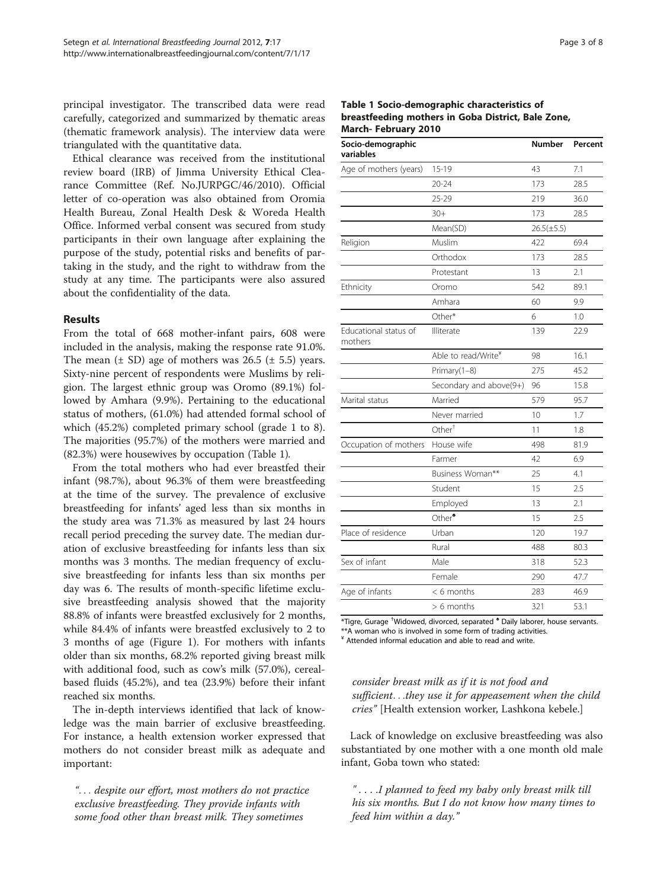principal investigator. The transcribed data were read carefully, categorized and summarized by thematic areas (thematic framework analysis). The interview data were triangulated with the quantitative data.

Ethical clearance was received from the institutional review board (IRB) of Jimma University Ethical Clearance Committee (Ref. No.JURPGC/46/2010). Official letter of co-operation was also obtained from Oromia Health Bureau, Zonal Health Desk & Woreda Health Office. Informed verbal consent was secured from study participants in their own language after explaining the purpose of the study, potential risks and benefits of partaking in the study, and the right to withdraw from the study at any time. The participants were also assured about the confidentiality of the data.

#### Results

From the total of 668 mother-infant pairs, 608 were included in the analysis, making the response rate 91.0%. The mean  $(\pm SD)$  age of mothers was 26.5  $(\pm 5.5)$  years. Sixty-nine percent of respondents were Muslims by religion. The largest ethnic group was Oromo (89.1%) followed by Amhara (9.9%). Pertaining to the educational status of mothers, (61.0%) had attended formal school of which (45.2%) completed primary school (grade 1 to 8). The majorities (95.7%) of the mothers were married and (82.3%) were housewives by occupation (Table 1).

From the total mothers who had ever breastfed their infant (98.7%), about 96.3% of them were breastfeeding at the time of the survey. The prevalence of exclusive breastfeeding for infants' aged less than six months in the study area was 71.3% as measured by last 24 hours recall period preceding the survey date. The median duration of exclusive breastfeeding for infants less than six months was 3 months. The median frequency of exclusive breastfeeding for infants less than six months per day was 6. The results of month-specific lifetime exclusive breastfeeding analysis showed that the majority 88.8% of infants were breastfed exclusively for 2 months, while 84.4% of infants were breastfed exclusively to 2 to 3 months of age (Figure [1](#page-3-0)). For mothers with infants older than six months, 68.2% reported giving breast milk with additional food, such as cow's milk (57.0%), cerealbased fluids (45.2%), and tea (23.9%) before their infant reached six months.

The in-depth interviews identified that lack of knowledge was the main barrier of exclusive breastfeeding. For instance, a health extension worker expressed that mothers do not consider breast milk as adequate and important:

"... despite our effort, most mothers do not practice exclusive breastfeeding. They provide infants with some food other than breast milk. They sometimes

| Table 1 Socio-demographic characteristics of       |  |
|----------------------------------------------------|--|
| breastfeeding mothers in Goba District, Bale Zone, |  |
| <b>March-February 2010</b>                         |  |

| Socio-demographic<br>variables   |                                 | Number          | Percent |
|----------------------------------|---------------------------------|-----------------|---------|
| Age of mothers (years)           | $15 - 19$                       | 43              | 7.1     |
|                                  | $20 - 24$                       | 173             | 28.5    |
|                                  | $25 - 29$                       | 219             | 36.0    |
|                                  | $30+$                           | 173             | 28.5    |
|                                  | Mean(SD)                        | $26.5(\pm 5.5)$ |         |
| Religion                         | Muslim                          | 422             | 69.4    |
|                                  | Orthodox                        | 173             | 28.5    |
|                                  | Protestant                      | 13              | 2.1     |
| Ethnicity                        | Oromo                           | 542             | 89.1    |
|                                  | Amhara                          | 60              | 9.9     |
|                                  | Other*                          | 6               | 1.0     |
| Educational status of<br>mothers | Illiterate                      | 139             | 22.9    |
|                                  | Able to read/Write <sup>¥</sup> | 98              | 16.1    |
|                                  | Primary(1-8)                    | 275             | 45.2    |
|                                  | Secondary and above(9+)         | 96              | 15.8    |
| Marital status                   | Married                         | 579             | 95.7    |
|                                  | Never married                   | 10              | 1.7     |
|                                  | Other <sup>†</sup>              | 11              | 1.8     |
| Occupation of mothers            | House wife                      | 498             | 81.9    |
|                                  | Farmer                          | 42              | 6.9     |
|                                  | Business Woman**                | 25              | 4.1     |
|                                  | Student                         | 15              | 2.5     |
|                                  | Employed                        | 13              | 2.1     |
|                                  | Other <sup>*</sup>              | 15              | 2.5     |
| Place of residence               | Urban                           | 120             | 19.7    |
|                                  | Rural                           | 488             | 80.3    |
| Sex of infant                    | Male                            | 318             | 52.3    |
|                                  | Female                          | 290             | 47.7    |
| Age of infants                   | $< 6$ months                    | 283             | 46.9    |
|                                  | $> 6$ months                    | 321             | 53.1    |

\*Tigre, Gurage † Widowed, divorced, separated ♠ Daily laborer, house servants. \*\*A woman who is involved in some form of trading activities.

¥ Attended informal education and able to read and write.

## consider breast milk as if it is not food and sufficient...they use it for appeasement when the child cries" [Health extension worker, Lashkona kebele.]

Lack of knowledge on exclusive breastfeeding was also substantiated by one mother with a one month old male infant, Goba town who stated:

" . . . .I planned to feed my baby only breast milk till his six months. But I do not know how many times to feed him within a day."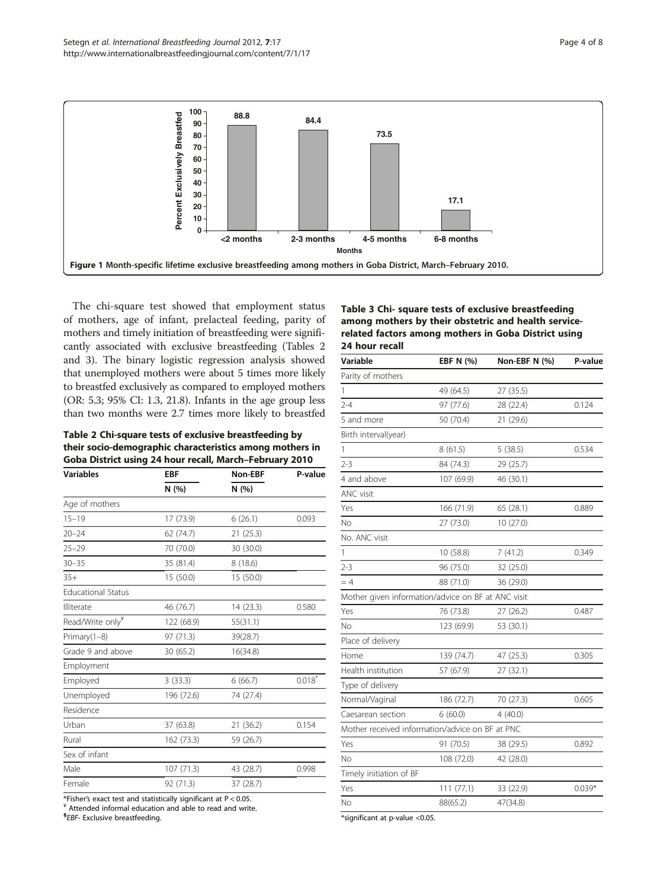<span id="page-3-0"></span>

The chi-square test showed that employment status of mothers, age of infant, prelacteal feeding, parity of mothers and timely initiation of breastfeeding were significantly associated with exclusive breastfeeding (Tables 2 and 3). The binary logistic regression analysis showed that unemployed mothers were about 5 times more likely to breastfed exclusively as compared to employed mothers (OR: 5.3; 95% CI: 1.3, 21.8). Infants in the age group less than two months were 2.7 times more likely to breastfed

#### Table 2 Chi-square tests of exclusive breastfeeding by their socio-demographic characteristics among mothers in Goba District using 24 hour recall, March–February 2010

| <b>Variables</b>             | <b>EBF</b><br>N(%) | Non-EBF   | P-value |
|------------------------------|--------------------|-----------|---------|
|                              |                    | N(%)      |         |
| Age of mothers               |                    |           |         |
| $15 - 19$                    | 17 (73.9)          | 6(26.1)   | 0.093   |
| $20 - 24$                    | 62 (74.7)          | 21(25.3)  |         |
| $25 - 29$                    | 70 (70.0)          | 30 (30.0) |         |
| $30 - 35$                    | 35 (81.4)          | 8(18.6)   |         |
| $35+$                        | 15 (50.0)          | 15 (50.0) |         |
| <b>Educational Status</b>    |                    |           |         |
| Illiterate                   | 46 (76.7)          | 14 (23.3) | 0.580   |
| Read/Write only <sup>¥</sup> | 122 (68.9)         | 55(31.1)  |         |
| Primary(1-8)                 | 97 (71.3)          | 39(28.7)  |         |
| Grade 9 and above            | 30 (65.2)          | 16(34.8)  |         |
| Employment                   |                    |           |         |
| Employed                     | 3(33.3)            | 6(66.7)   | 0.018   |
| Unemployed                   | 196 (72.6)         | 74 (27.4) |         |
| Residence                    |                    |           |         |
| Urban                        | 37 (63.8)          | 21 (36.2) | 0.154   |
| Rural                        | 162 (73.3)         | 59 (26.7) |         |
| Sex of infant                |                    |           |         |
| Male                         | 107 (71.3)         | 43 (28.7) | 0.998   |
| Female                       | 92 (71.3)          | 37 (28.7) |         |
|                              |                    |           |         |

\*Fisher's exact test and statistically significant at  $P < 0.05$ .<br>\* Attended informal education and able to read and write.

<sup>§</sup>EBF- Exclusive breastfeeding.

### Table 3 Chi- square tests of exclusive breastfeeding among mothers by their obstetric and health servicerelated factors among mothers in Goba District using 24 hour recall

| Variable                                           | EBF N (%)  | Non-EBF N (%) | P-value  |
|----------------------------------------------------|------------|---------------|----------|
| Parity of mothers                                  |            |               |          |
| 1                                                  | 49 (64.5)  | 27 (35.5)     |          |
| $2 - 4$                                            | 97 (77.6)  | 28 (22.4)     | 0.124    |
| 5 and more                                         | 50 (70.4)  | 21 (29.6)     |          |
| Birth interval(year)                               |            |               |          |
| 1                                                  | 8(61.5)    | 5(38.5)       | 0.534    |
| $2 - 3$                                            | 84 (74.3)  | 29 (25.7)     |          |
| 4 and above                                        | 107 (69.9) | 46 (30.1)     |          |
| <b>ANC</b> visit                                   |            |               |          |
| Yes                                                | 166 (71.9) | 65 (28.1)     | 0.889    |
| No                                                 | 27 (73.0)  | 10 (27.0)     |          |
| No. ANC visit                                      |            |               |          |
| 1                                                  | 10 (58.8)  | 7(41.2)       | 0.349    |
| $2 - 3$                                            | 96 (75.0)  | 32 (25.0)     |          |
| $=4$                                               | 88 (71.0)  | 36 (29.0)     |          |
| Mother given information/advice on BF at ANC visit |            |               |          |
| Yes                                                | 76 (73.8)  | 27 (26.2)     | 0.487    |
| No                                                 | 123 (69.9) | 53 (30.1)     |          |
| Place of delivery                                  |            |               |          |
| Home                                               | 139 (74.7) | 47 (25.3)     | 0.305    |
| Health institution                                 | 57 (67.9)  | 27 (32.1)     |          |
| Type of delivery                                   |            |               |          |
| Normal/Vaginal                                     | 186 (72.7) | 70 (27.3)     | 0.605    |
| Caesarean section                                  | 6(60.0)    | 4(40.0)       |          |
| Mother received information/advice on BF at PNC    |            |               |          |
| Yes                                                | 91 (70.5)  | 38 (29.5)     | 0.892    |
| No                                                 | 108 (72.0) | 42 (28.0)     |          |
| Timely initiation of BF                            |            |               |          |
| Yes                                                | 111(77.1)  | 33 (22.9)     | $0.039*$ |
| No                                                 | 88(65.2)   | 47(34.8)      |          |

\*significant at p-value <0.05.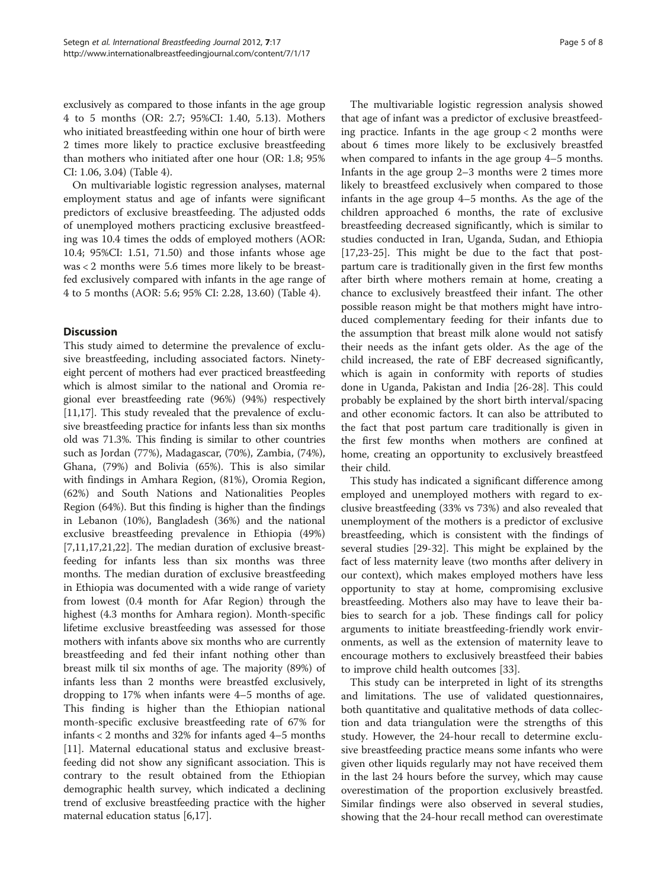exclusively as compared to those infants in the age group 4 to 5 months (OR: 2.7; 95%CI: 1.40, 5.13). Mothers who initiated breastfeeding within one hour of birth were 2 times more likely to practice exclusive breastfeeding than mothers who initiated after one hour (OR: 1.8; 95% CI: 1.06, 3.04) (Table [4\)](#page-5-0).

On multivariable logistic regression analyses, maternal employment status and age of infants were significant predictors of exclusive breastfeeding. The adjusted odds of unemployed mothers practicing exclusive breastfeeding was 10.4 times the odds of employed mothers (AOR: 10.4; 95%CI: 1.51, 71.50) and those infants whose age was < 2 months were 5.6 times more likely to be breastfed exclusively compared with infants in the age range of 4 to 5 months (AOR: 5.6; 95% CI: 2.28, 13.60) (Table [4](#page-5-0)).

## **Discussion**

This study aimed to determine the prevalence of exclusive breastfeeding, including associated factors. Ninetyeight percent of mothers had ever practiced breastfeeding which is almost similar to the national and Oromia regional ever breastfeeding rate (96%) (94%) respectively [[11](#page-6-0)[,17](#page-7-0)]. This study revealed that the prevalence of exclusive breastfeeding practice for infants less than six months old was 71.3%. This finding is similar to other countries such as Jordan (77%), Madagascar, (70%), Zambia, (74%), Ghana, (79%) and Bolivia (65%). This is also similar with findings in Amhara Region, (81%), Oromia Region, (62%) and South Nations and Nationalities Peoples Region (64%). But this finding is higher than the findings in Lebanon (10%), Bangladesh (36%) and the national exclusive breastfeeding prevalence in Ethiopia (49%) [[7,11,](#page-6-0)[17,21,22\]](#page-7-0). The median duration of exclusive breastfeeding for infants less than six months was three months. The median duration of exclusive breastfeeding in Ethiopia was documented with a wide range of variety from lowest (0.4 month for Afar Region) through the highest (4.3 months for Amhara region). Month-specific lifetime exclusive breastfeeding was assessed for those mothers with infants above six months who are currently breastfeeding and fed their infant nothing other than breast milk til six months of age. The majority (89%) of infants less than 2 months were breastfed exclusively, dropping to 17% when infants were 4–5 months of age. This finding is higher than the Ethiopian national month-specific exclusive breastfeeding rate of 67% for infants < 2 months and 32% for infants aged 4–5 months [[11\]](#page-6-0). Maternal educational status and exclusive breastfeeding did not show any significant association. This is contrary to the result obtained from the Ethiopian demographic health survey, which indicated a declining trend of exclusive breastfeeding practice with the higher maternal education status [[6,](#page-6-0)[17\]](#page-7-0).

The multivariable logistic regression analysis showed that age of infant was a predictor of exclusive breastfeeding practice. Infants in the age group < 2 months were about 6 times more likely to be exclusively breastfed when compared to infants in the age group 4–5 months. Infants in the age group 2–3 months were 2 times more likely to breastfeed exclusively when compared to those infants in the age group 4–5 months. As the age of the children approached 6 months, the rate of exclusive breastfeeding decreased significantly, which is similar to studies conducted in Iran, Uganda, Sudan, and Ethiopia [[17,23-25\]](#page-7-0). This might be due to the fact that postpartum care is traditionally given in the first few months after birth where mothers remain at home, creating a chance to exclusively breastfeed their infant. The other possible reason might be that mothers might have introduced complementary feeding for their infants due to the assumption that breast milk alone would not satisfy their needs as the infant gets older. As the age of the child increased, the rate of EBF decreased significantly, which is again in conformity with reports of studies done in Uganda, Pakistan and India [[26-28](#page-7-0)]. This could probably be explained by the short birth interval/spacing and other economic factors. It can also be attributed to the fact that post partum care traditionally is given in the first few months when mothers are confined at home, creating an opportunity to exclusively breastfeed their child.

This study has indicated a significant difference among employed and unemployed mothers with regard to exclusive breastfeeding (33% vs 73%) and also revealed that unemployment of the mothers is a predictor of exclusive breastfeeding, which is consistent with the findings of several studies [\[29](#page-7-0)-[32](#page-7-0)]. This might be explained by the fact of less maternity leave (two months after delivery in our context), which makes employed mothers have less opportunity to stay at home, compromising exclusive breastfeeding. Mothers also may have to leave their babies to search for a job. These findings call for policy arguments to initiate breastfeeding-friendly work environments, as well as the extension of maternity leave to encourage mothers to exclusively breastfeed their babies to improve child health outcomes [\[33](#page-7-0)].

This study can be interpreted in light of its strengths and limitations. The use of validated questionnaires, both quantitative and qualitative methods of data collection and data triangulation were the strengths of this study. However, the 24-hour recall to determine exclusive breastfeeding practice means some infants who were given other liquids regularly may not have received them in the last 24 hours before the survey, which may cause overestimation of the proportion exclusively breastfed. Similar findings were also observed in several studies, showing that the 24-hour recall method can overestimate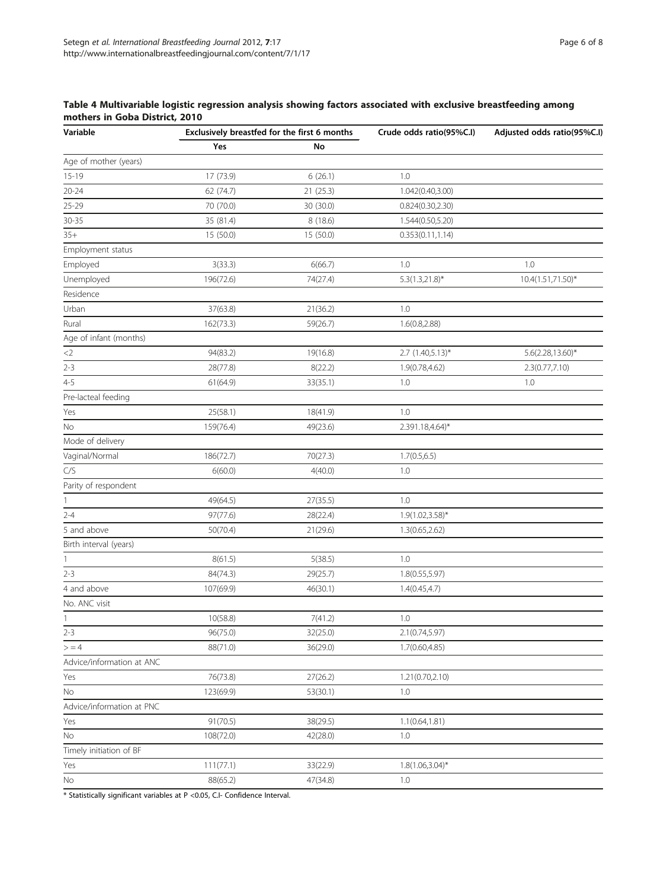### <span id="page-5-0"></span>Table 4 Multivariable logistic regression analysis showing factors associated with exclusive breastfeeding among mothers in Goba District, 2010

| Variable                  | Exclusively breastfed for the first 6 months |           | Crude odds ratio(95%C.I) | Adjusted odds ratio(95%C.I) |
|---------------------------|----------------------------------------------|-----------|--------------------------|-----------------------------|
|                           | Yes                                          | No        |                          |                             |
| Age of mother (years)     |                                              |           |                          |                             |
| $15-19$                   | 17 (73.9)                                    | 6(26.1)   | 1.0                      |                             |
| $20 - 24$                 | 62 (74.7)                                    | 21 (25.3) | 1.042(0.40,3.00)         |                             |
| $25 - 29$                 | 70 (70.0)                                    | 30 (30.0) | 0.824(0.30, 2.30)        |                             |
| $30 - 35$                 | 35 (81.4)                                    | 8 (18.6)  | 1.544(0.50,5.20)         |                             |
| $35+$                     | 15 (50.0)                                    | 15 (50.0) | 0.353(0.11, 1.14)        |                             |
| Employment status         |                                              |           |                          |                             |
| Employed                  | 3(33.3)                                      | 6(66.7)   | 1.0                      | 1.0                         |
| Unemployed                | 196(72.6)                                    | 74(27.4)  | $5.3(1.3,21.8)$ *        | 10.4(1.51,71.50)*           |
| Residence                 |                                              |           |                          |                             |
| Urban                     | 37(63.8)                                     | 21(36.2)  | 1.0                      |                             |
| Rural                     | 162(73.3)                                    | 59(26.7)  | 1.6(0.8, 2.88)           |                             |
| Age of infant (months)    |                                              |           |                          |                             |
| ${<}2$                    | 94(83.2)                                     | 19(16.8)  | 2.7 (1.40,5.13)*         | 5.6(2.28,13.60)*            |
| $2 - 3$                   | 28(77.8)                                     | 8(22.2)   | 1.9(0.78,4.62)           | 2.3(0.77,7.10)              |
| $4 - 5$                   | 61(64.9)                                     | 33(35.1)  | 1.0                      | 1.0                         |
| Pre-lacteal feeding       |                                              |           |                          |                             |
| Yes                       | 25(58.1)                                     | 18(41.9)  | 1.0                      |                             |
| No                        | 159(76.4)                                    | 49(23.6)  | 2.391.18,4.64)*          |                             |
| Mode of delivery          |                                              |           |                          |                             |
| Vaginal/Normal            | 186(72.7)                                    | 70(27.3)  | 1.7(0.5, 6.5)            |                             |
| C/S                       | 6(60.0)                                      | 4(40.0)   | 1.0                      |                             |
| Parity of respondent      |                                              |           |                          |                             |
| 1                         | 49(64.5)                                     | 27(35.5)  | 1.0                      |                             |
| $2 - 4$                   | 97(77.6)                                     | 28(22.4)  | $1.9(1.02, 3.58)$ *      |                             |
| 5 and above               | 50(70.4)                                     | 21(29.6)  | 1.3(0.65, 2.62)          |                             |
| Birth interval (years)    |                                              |           |                          |                             |
| 1                         | 8(61.5)                                      | 5(38.5)   | 1.0                      |                             |
| $2 - 3$                   | 84(74.3)                                     | 29(25.7)  | 1.8(0.55, 5.97)          |                             |
| 4 and above               | 107(69.9)                                    | 46(30.1)  | 1.4(0.45, 4.7)           |                             |
| No. ANC visit             |                                              |           |                          |                             |
| $\mathbf{1}$              | 10(58.8)                                     | 7(41.2)   | 1.0                      |                             |
| $2 - 3$                   | 96(75.0)                                     | 32(25.0)  | 2.1(0.74, 5.97)          |                             |
| > 4                       | 88(71.0)                                     | 36(29.0)  | 1.7(0.60, 4.85)          |                             |
| Advice/information at ANC |                                              |           |                          |                             |
| Yes                       | 76(73.8)                                     | 27(26.2)  | 1.21(0.70,2.10)          |                             |
| No                        | 123(69.9)                                    | 53(30.1)  | 1.0                      |                             |
| Advice/information at PNC |                                              |           |                          |                             |
| Yes                       | 91(70.5)                                     | 38(29.5)  | 1.1(0.64, 1.81)          |                             |
| No                        | 108(72.0)                                    | 42(28.0)  | 1.0                      |                             |
| Timely initiation of BF   |                                              |           |                          |                             |
| Yes                       | 111(77.1)                                    | 33(22.9)  | $1.8(1.06, 3.04)^{*}$    |                             |
| No                        | 88(65.2)                                     | 47(34.8)  | 1.0                      |                             |
|                           |                                              |           |                          |                             |

\* Statistically significant variables at P <0.05, C.I- Confidence Interval.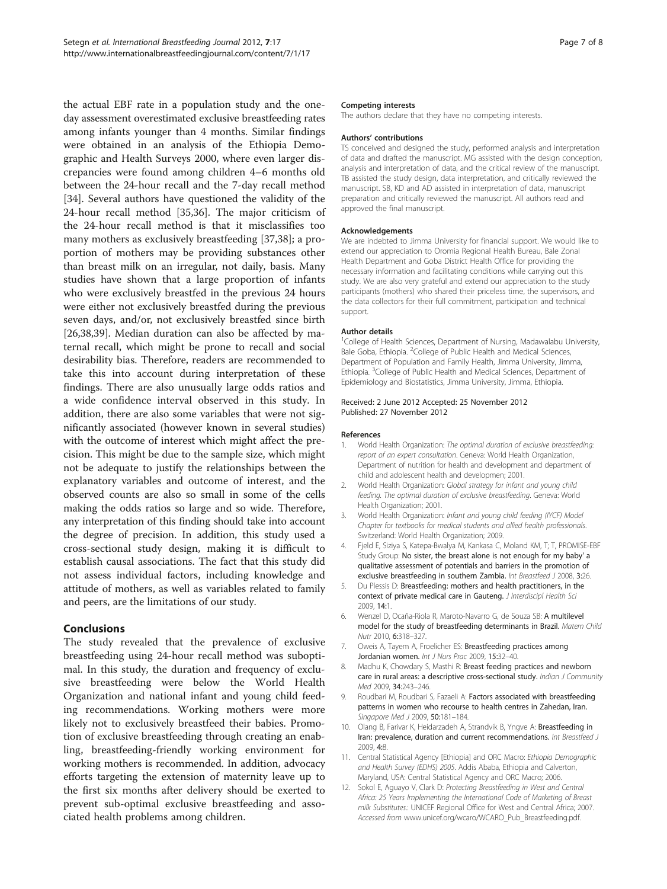<span id="page-6-0"></span>the actual EBF rate in a population study and the oneday assessment overestimated exclusive breastfeeding rates among infants younger than 4 months. Similar findings were obtained in an analysis of the Ethiopia Demographic and Health Surveys 2000, where even larger discrepancies were found among children 4–6 months old between the 24-hour recall and the 7-day recall method [[34\]](#page-7-0). Several authors have questioned the validity of the 24-hour recall method [[35,36\]](#page-7-0). The major criticism of the 24-hour recall method is that it misclassifies too many mothers as exclusively breastfeeding [[37,38\]](#page-7-0); a proportion of mothers may be providing substances other than breast milk on an irregular, not daily, basis. Many studies have shown that a large proportion of infants who were exclusively breastfed in the previous 24 hours were either not exclusively breastfed during the previous seven days, and/or, not exclusively breastfed since birth [[26,38,39\]](#page-7-0). Median duration can also be affected by maternal recall, which might be prone to recall and social desirability bias. Therefore, readers are recommended to take this into account during interpretation of these findings. There are also unusually large odds ratios and a wide confidence interval observed in this study. In addition, there are also some variables that were not significantly associated (however known in several studies) with the outcome of interest which might affect the precision. This might be due to the sample size, which might not be adequate to justify the relationships between the explanatory variables and outcome of interest, and the observed counts are also so small in some of the cells making the odds ratios so large and so wide. Therefore, any interpretation of this finding should take into account the degree of precision. In addition, this study used a cross-sectional study design, making it is difficult to establish causal associations. The fact that this study did not assess individual factors, including knowledge and attitude of mothers, as well as variables related to family and peers, are the limitations of our study.

## Conclusions

The study revealed that the prevalence of exclusive breastfeeding using 24-hour recall method was suboptimal. In this study, the duration and frequency of exclusive breastfeeding were below the World Health Organization and national infant and young child feeding recommendations. Working mothers were more likely not to exclusively breastfeed their babies. Promotion of exclusive breastfeeding through creating an enabling, breastfeeding-friendly working environment for working mothers is recommended. In addition, advocacy efforts targeting the extension of maternity leave up to the first six months after delivery should be exerted to prevent sub-optimal exclusive breastfeeding and associated health problems among children.

#### Competing interests

The authors declare that they have no competing interests.

#### Authors' contributions

TS conceived and designed the study, performed analysis and interpretation of data and drafted the manuscript. MG assisted with the design conception, analysis and interpretation of data, and the critical review of the manuscript. TB assisted the study design, data interpretation, and critically reviewed the manuscript. SB, KD and AD assisted in interpretation of data, manuscript preparation and critically reviewed the manuscript. All authors read and approved the final manuscript.

#### Acknowledgements

We are indebted to Jimma University for financial support. We would like to extend our appreciation to Oromia Regional Health Bureau, Bale Zonal Health Department and Goba District Health Office for providing the necessary information and facilitating conditions while carrying out this study. We are also very grateful and extend our appreciation to the study participants (mothers) who shared their priceless time, the supervisors, and the data collectors for their full commitment, participation and technical support.

#### Author details

<sup>1</sup>College of Health Sciences, Department of Nursing, Madawalabu University Bale Goba, Ethiopia. <sup>2</sup>College of Public Health and Medical Sciences, Department of Population and Family Health, Jimma University, Jimma, Ethiopia. <sup>3</sup>College of Public Health and Medical Sciences, Department of Epidemiology and Biostatistics, Jimma University, Jimma, Ethiopia.

#### Received: 2 June 2012 Accepted: 25 November 2012 Published: 27 November 2012

#### References

- 1. World Health Organization: The optimal duration of exclusive breastfeeding: report of an expert consultation. Geneva: World Health Organization, Department of nutrition for health and development and department of child and adolescent health and developmen; 2001.
- 2. World Health Organization: Global strategy for infant and young child feeding. The optimal duration of exclusive breastfeeding. Geneva: World Health Organization; 2001.
- World Health Organization: Infant and young child feeding (IYCF) Model Chapter for textbooks for medical students and allied health professionals. Switzerland: World Health Organization; 2009.
- 4. Fjeld E, Siziya S, Katepa-Bwalya M, Kankasa C, Moland KM, T; T, PROMISE-EBF Study Group: No sister, the breast alone is not enough for my baby' a qualitative assessment of potentials and barriers in the promotion of exclusive breastfeeding in southern Zambia. Int Breastfeed J 2008, 3:26.
- 5. Du Plessis D: Breastfeeding: mothers and health practitioners, in the context of private medical care in Gauteng. J Interdiscipl Health Sci 2009, 14:1.
- 6. Wenzel D, Ocaña-Riola R, Maroto-Navarro G, de Souza SB: A multilevel model for the study of breastfeeding determinants in Brazil. Matern Child Nutr 2010, 6:318–327.
- 7. Oweis A, Tayem A, Froelicher ES: Breastfeeding practices among Jordanian women. Int J Nurs Prac 2009, 15:32-40.
- 8. Madhu K, Chowdary S, Masthi R: Breast feeding practices and newborn care in rural areas: a descriptive cross-sectional study. Indian J Community Med 2009, 34:243–246.
- 9. Roudbari M, Roudbari S, Fazaeli A: Factors associated with breastfeeding patterns in women who recourse to health centres in Zahedan, Iran. Singapore Med J 2009, 50:181-184.
- 10. Olang B, Farivar K, Heidarzadeh A, Strandvik B, Yngve A: Breastfeeding in Iran: prevalence, duration and current recommendations. Int Breastfeed J 2009, 4:8.
- 11. Central Statistical Agency [Ethiopia] and ORC Macro: Ethiopia Demographic and Health Survey (EDHS) 2005. Addis Ababa, Ethiopia and Calverton, Maryland, USA: Central Statistical Agency and ORC Macro; 2006.
- 12. Sokol E, Aguayo V, Clark D: Protecting Breastfeeding in West and Central Africa: 25 Years Implementing the International Code of Marketing of Breast milk Substitutes.: UNICEF Regional Office for West and Central Africa; 2007. Accessed from www.unicef.org/wcaro/WCARO\_Pub\_Breastfeeding.pdf.